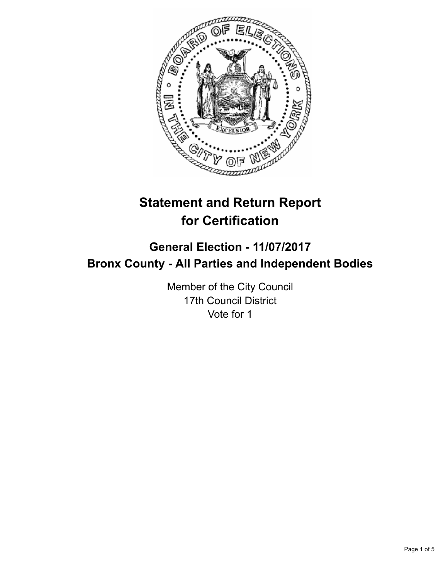

# **Statement and Return Report for Certification**

## **General Election - 11/07/2017 Bronx County - All Parties and Independent Bodies**

Member of the City Council 17th Council District Vote for 1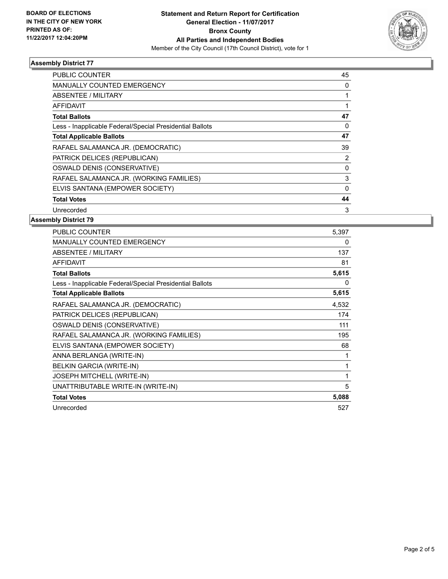

### **Assembly District 77**

| PUBLIC COUNTER                                           | 45 |
|----------------------------------------------------------|----|
| MANUALLY COUNTED EMERGENCY                               | 0  |
| ABSENTEE / MILITARY                                      |    |
| <b>AFFIDAVIT</b>                                         |    |
| <b>Total Ballots</b>                                     | 47 |
| Less - Inapplicable Federal/Special Presidential Ballots | 0  |
| <b>Total Applicable Ballots</b>                          | 47 |
| RAFAEL SALAMANCA JR. (DEMOCRATIC)                        | 39 |
| PATRICK DELICES (REPUBLICAN)                             | 2  |
| OSWALD DENIS (CONSERVATIVE)                              | 0  |
| RAFAEL SALAMANCA JR. (WORKING FAMILIES)                  | 3  |
| ELVIS SANTANA (EMPOWER SOCIETY)                          | 0  |
| <b>Total Votes</b>                                       | 44 |
| Unrecorded                                               | 3  |

### **Assembly District 79**

| PUBLIC COUNTER                                           | 5,397 |
|----------------------------------------------------------|-------|
| <b>MANUALLY COUNTED EMERGENCY</b>                        | 0     |
| <b>ABSENTEE / MILITARY</b>                               | 137   |
| <b>AFFIDAVIT</b>                                         | 81    |
| <b>Total Ballots</b>                                     | 5,615 |
| Less - Inapplicable Federal/Special Presidential Ballots | 0     |
| <b>Total Applicable Ballots</b>                          | 5,615 |
| RAFAEL SALAMANCA JR. (DEMOCRATIC)                        | 4,532 |
| PATRICK DELICES (REPUBLICAN)                             | 174   |
| OSWALD DENIS (CONSERVATIVE)                              | 111   |
| RAFAEL SALAMANCA JR. (WORKING FAMILIES)                  | 195   |
| ELVIS SANTANA (EMPOWER SOCIETY)                          | 68    |
| ANNA BERLANGA (WRITE-IN)                                 | 1     |
| <b>BELKIN GARCIA (WRITE-IN)</b>                          | 1     |
| JOSEPH MITCHELL (WRITE-IN)                               | 1     |
| UNATTRIBUTABLE WRITE-IN (WRITE-IN)                       | 5     |
| <b>Total Votes</b>                                       | 5,088 |
| Unrecorded                                               | 527   |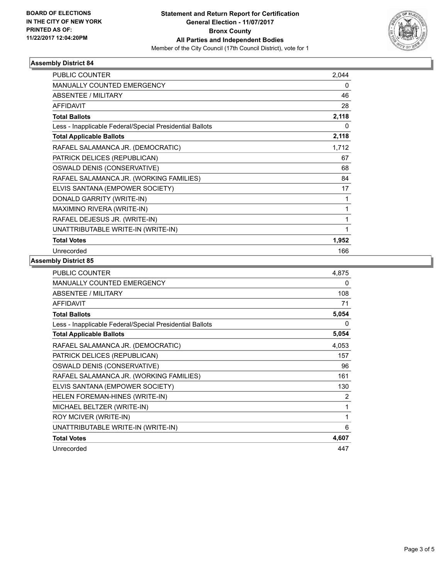

### **Assembly District 84**

| <b>PUBLIC COUNTER</b>                                    | 2,044 |
|----------------------------------------------------------|-------|
| <b>MANUALLY COUNTED EMERGENCY</b>                        | 0     |
| ABSENTEE / MILITARY                                      | 46    |
| <b>AFFIDAVIT</b>                                         | 28    |
| <b>Total Ballots</b>                                     | 2,118 |
| Less - Inapplicable Federal/Special Presidential Ballots | 0     |
| <b>Total Applicable Ballots</b>                          | 2,118 |
| RAFAEL SALAMANCA JR. (DEMOCRATIC)                        | 1,712 |
| PATRICK DELICES (REPUBLICAN)                             | 67    |
| OSWALD DENIS (CONSERVATIVE)                              | 68    |
| RAFAEL SALAMANCA JR. (WORKING FAMILIES)                  | 84    |
| ELVIS SANTANA (EMPOWER SOCIETY)                          | 17    |
| DONALD GARRITY (WRITE-IN)                                | 1     |
| MAXIMINO RIVERA (WRITE-IN)                               | 1     |
| RAFAEL DEJESUS JR. (WRITE-IN)                            | 1     |
| UNATTRIBUTABLE WRITE-IN (WRITE-IN)                       | 1     |
| <b>Total Votes</b>                                       | 1,952 |
| Unrecorded                                               | 166   |

### **Assembly District 85**

| PUBLIC COUNTER                                           | 4,875 |
|----------------------------------------------------------|-------|
| <b>MANUALLY COUNTED EMERGENCY</b>                        | 0     |
| ABSENTEE / MILITARY                                      | 108   |
| <b>AFFIDAVIT</b>                                         | 71    |
| <b>Total Ballots</b>                                     | 5,054 |
| Less - Inapplicable Federal/Special Presidential Ballots | 0     |
| <b>Total Applicable Ballots</b>                          | 5,054 |
| RAFAEL SALAMANCA JR. (DEMOCRATIC)                        | 4,053 |
| PATRICK DELICES (REPUBLICAN)                             | 157   |
| OSWALD DENIS (CONSERVATIVE)                              | 96    |
| RAFAEL SALAMANCA JR. (WORKING FAMILIES)                  | 161   |
| ELVIS SANTANA (EMPOWER SOCIETY)                          | 130   |
| HELEN FOREMAN-HINES (WRITE-IN)                           | 2     |
| MICHAEL BELTZER (WRITE-IN)                               | 1     |
| ROY MCIVER (WRITE-IN)                                    | 1     |
| UNATTRIBUTABLE WRITE-IN (WRITE-IN)                       | 6     |
| <b>Total Votes</b>                                       | 4,607 |
| Unrecorded                                               | 447   |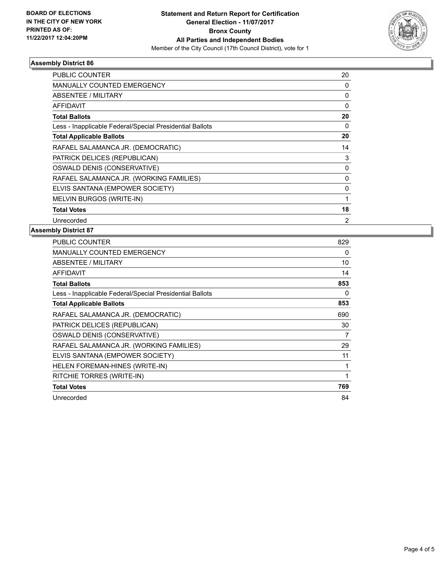

### **Assembly District 86**

| <b>PUBLIC COUNTER</b>                                    | 20       |
|----------------------------------------------------------|----------|
| <b>MANUALLY COUNTED EMERGENCY</b>                        | 0        |
| ABSENTEE / MILITARY                                      | 0        |
| AFFIDAVIT                                                | $\Omega$ |
| <b>Total Ballots</b>                                     | 20       |
| Less - Inapplicable Federal/Special Presidential Ballots | 0        |
| <b>Total Applicable Ballots</b>                          | 20       |
| RAFAEL SALAMANCA JR. (DEMOCRATIC)                        | 14       |
| PATRICK DELICES (REPUBLICAN)                             | 3        |
| OSWALD DENIS (CONSERVATIVE)                              | 0        |
| RAFAEL SALAMANCA JR. (WORKING FAMILIES)                  | 0        |
| ELVIS SANTANA (EMPOWER SOCIETY)                          | 0        |
| MELVIN BURGOS (WRITE-IN)                                 |          |
| <b>Total Votes</b>                                       | 18       |
| Unrecorded                                               | 2        |

### **Assembly District 87**

| <b>PUBLIC COUNTER</b>                                    | 829 |
|----------------------------------------------------------|-----|
| <b>MANUALLY COUNTED EMERGENCY</b>                        | 0   |
| <b>ABSENTEE / MILITARY</b>                               | 10  |
| <b>AFFIDAVIT</b>                                         | 14  |
| <b>Total Ballots</b>                                     | 853 |
| Less - Inapplicable Federal/Special Presidential Ballots | 0   |
| <b>Total Applicable Ballots</b>                          | 853 |
| RAFAEL SALAMANCA JR. (DEMOCRATIC)                        | 690 |
| PATRICK DELICES (REPUBLICAN)                             | 30  |
| OSWALD DENIS (CONSERVATIVE)                              | 7   |
| RAFAEL SALAMANCA JR. (WORKING FAMILIES)                  | 29  |
| ELVIS SANTANA (EMPOWER SOCIETY)                          | 11  |
| <b>HELEN FOREMAN-HINES (WRITE-IN)</b>                    | 1   |
| RITCHIE TORRES (WRITE-IN)                                | 1   |
| <b>Total Votes</b>                                       | 769 |
| Unrecorded                                               | 84  |